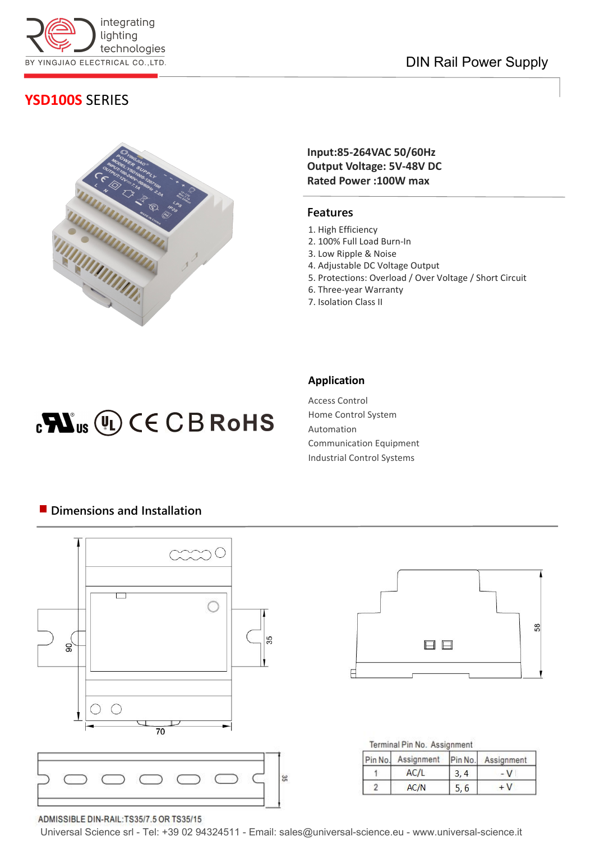

## DIN Rail Power Supply

# **YSD100S** SERIES



### **Input:85-264VAC 50/60Hz Output Voltage: 5V-48V DC Rated Power :100W max**

### **Features**

- 1. High Efficiency
- 2. 100% Full Load Burn-In
- 3. Low Ripple & Noise
- 4. Adjustable DC Voltage Output
- 5. Protections: Overload / Over Voltage / Short Circuit
- 6. Three-year Warranty 7. Isolation Class II

# $_{c}\mathbf{N}$ <sub>us</sub> $(I)$  $(C \in$  $C \cup B$  RoHS

### **Application**

Access Control Home Control System Automation Communication Equipment Industrial Control Systems

# DС  $\frac{1}{2}$  $\mathbb{R}$ ∩ 35  $\mathsf{S}$  $\overline{70}$



Terminal Pin No. Assignment

| Pin No. Assignment |      | Pin No. Assignment<br>– V |  |
|--------------------|------|---------------------------|--|
| AC/L               | 3, 4 |                           |  |
| AC/N               | 5, 6 | $+V$                      |  |

#### ADMISSIBLE DIN-RAIL:TS35/7.5 OR TS35/15

Universal Science srl - Tel: +39 02 94324511 - Email: sales@universal-science.eu - www.universal-science.it

35

### **Dimensions and Installation**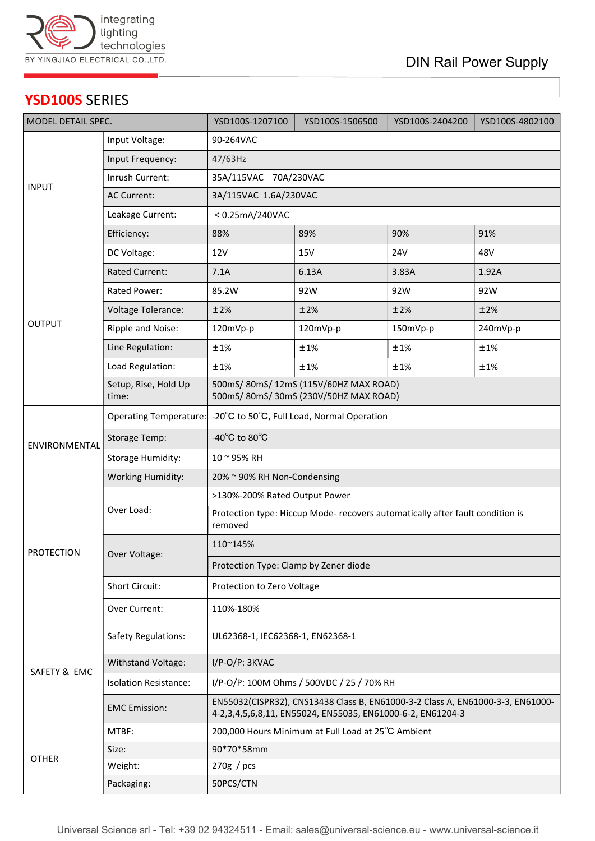

# **YSD100S** SERIES

| MODEL DETAIL SPEC. |                               | YSD100S-1207100                                                                                                                              | YSD100S-1506500 | YSD100S-2404200 | YSD100S-4802100 |  |  |
|--------------------|-------------------------------|----------------------------------------------------------------------------------------------------------------------------------------------|-----------------|-----------------|-----------------|--|--|
|                    | Input Voltage:                | 90-264VAC                                                                                                                                    |                 |                 |                 |  |  |
| <b>INPUT</b>       | Input Frequency:              | 47/63Hz                                                                                                                                      |                 |                 |                 |  |  |
|                    | Inrush Current:               | 35A/115VAC 70A/230VAC                                                                                                                        |                 |                 |                 |  |  |
|                    | <b>AC Current:</b>            | 3A/115VAC 1.6A/230VAC                                                                                                                        |                 |                 |                 |  |  |
|                    | Leakage Current:              | <0.25mA/240VAC                                                                                                                               |                 |                 |                 |  |  |
|                    | Efficiency:                   | 88%                                                                                                                                          | 89%             | 90%             | 91%             |  |  |
| <b>OUTPUT</b>      | DC Voltage:                   | <b>12V</b>                                                                                                                                   | 15V             | 24V             | 48V             |  |  |
|                    | <b>Rated Current:</b>         | 7.1A                                                                                                                                         | 6.13A           | 3.83A           | 1.92A           |  |  |
|                    | Rated Power:                  | 85.2W                                                                                                                                        | 92W             | 92W             | 92W             |  |  |
|                    | Voltage Tolerance:            | ±2%                                                                                                                                          | ±2%             | ±2%             | ±2%             |  |  |
|                    | Ripple and Noise:             | 120mVp-p                                                                                                                                     | 120mVp-p        | 150mVp-p        | 240mVp-p        |  |  |
|                    | Line Regulation:              | ±1%                                                                                                                                          | ±1%             | ±1%             | ±1%             |  |  |
|                    | Load Regulation:              | ±1%                                                                                                                                          | ±1%             | ±1%             | ±1%             |  |  |
|                    | Setup, Rise, Hold Up<br>time: | 500mS/80mS/12mS (115V/60HZ MAX ROAD)<br>500mS/80mS/30mS (230V/50HZ MAX ROAD)                                                                 |                 |                 |                 |  |  |
| ENVIRONMENTAL      | <b>Operating Temperature:</b> | -20°C to 50°C, Full Load, Normal Operation                                                                                                   |                 |                 |                 |  |  |
|                    | <b>Storage Temp:</b>          | -40 $^{\circ}$ C to 80 $^{\circ}$ C                                                                                                          |                 |                 |                 |  |  |
|                    | <b>Storage Humidity:</b>      | 10~95% RH                                                                                                                                    |                 |                 |                 |  |  |
|                    | <b>Working Humidity:</b>      | 20% ~ 90% RH Non-Condensing                                                                                                                  |                 |                 |                 |  |  |
|                    | Over Load:                    | >130%-200% Rated Output Power                                                                                                                |                 |                 |                 |  |  |
| <b>PROTECTION</b>  |                               | Protection type: Hiccup Mode- recovers automatically after fault condition is<br>removed                                                     |                 |                 |                 |  |  |
|                    | Over Voltage:                 | 110~145%                                                                                                                                     |                 |                 |                 |  |  |
|                    |                               | Protection Type: Clamp by Zener diode                                                                                                        |                 |                 |                 |  |  |
|                    | Short Circuit:                | Protection to Zero Voltage                                                                                                                   |                 |                 |                 |  |  |
|                    | Over Current:                 | 110%-180%                                                                                                                                    |                 |                 |                 |  |  |
| SAFETY & EMC       | <b>Safety Regulations:</b>    | UL62368-1, IEC62368-1, EN62368-1                                                                                                             |                 |                 |                 |  |  |
|                    | Withstand Voltage:            | I/P-O/P: 3KVAC                                                                                                                               |                 |                 |                 |  |  |
|                    | <b>Isolation Resistance:</b>  | I/P-O/P: 100M Ohms / 500VDC / 25 / 70% RH                                                                                                    |                 |                 |                 |  |  |
|                    | <b>EMC Emission:</b>          | EN55032(CISPR32), CNS13438 Class B, EN61000-3-2 Class A, EN61000-3-3, EN61000-<br>4-2,3,4,5,6,8,11, EN55024, EN55035, EN61000-6-2, EN61204-3 |                 |                 |                 |  |  |
| <b>OTHER</b>       | MTBF:                         | 200,000 Hours Minimum at Full Load at 25°C Ambient                                                                                           |                 |                 |                 |  |  |
|                    | Size:                         | 90*70*58mm                                                                                                                                   |                 |                 |                 |  |  |
|                    | Weight:                       | 270g / pcs                                                                                                                                   |                 |                 |                 |  |  |
|                    | Packaging:                    | 50PCS/CTN                                                                                                                                    |                 |                 |                 |  |  |